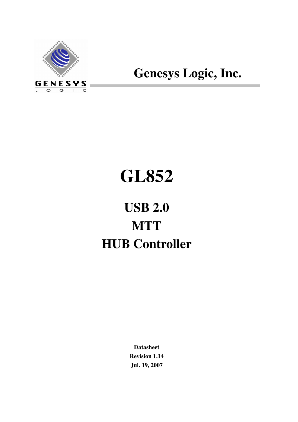

## **Genesys Logic, Inc.**

# **GL852**

## **USB 2.0 MTT HUB Controller**

**Datasheet Revision 1.14 Jul. 19, 2007**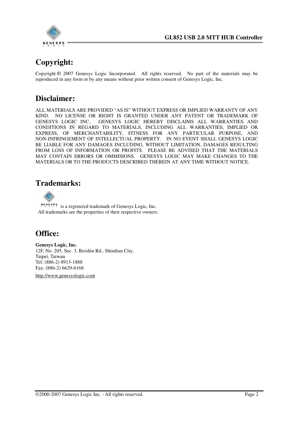

## **Copyright:**

Copyright **©** 2007 Genesys Logic Incorporated. All rights reserved. No part of the materials may be reproduced in any form or by any means without prior written consent of Genesys Logic, Inc.

## **Disclaimer:**

ALL MATERIALS ARE PROVIDED "AS IS" WITHOUT EXPRESS OR IMPLIED WARRANTY OF ANY KIND. NO LICENSE OR RIGHT IS GRANTED UNDER ANY PATENT OR TRADEMARK OF GENESYS LOGIC INC.. GENESYS LOGIC HEREBY DISCLAIMS ALL WARRANTIES AND CONDITIONS IN REGARD TO MATERIALS, INCLUDING ALL WARRANTIES, IMPLIED OR EXPRESS, OF MERCHANTABILITY, FITNESS FOR ANY PARTICULAR PURPOSE, AND NON-INFRINGEMENT OF INTELLECTUAL PROPERTY. IN NO EVENT SHALL GENESYS LOGIC BE LIABLE FOR ANY DAMAGES INCLUDING, WITHOUT LIMITATION, DAMAGES RESULTING FROM LOSS OF INFORMATION OR PROFITS. PLEASE BE ADVISED THAT THE MATERIALS MAY CONTAIN ERRORS OR OMMISIONS. GENESYS LOGIC MAY MAKE CHANGES TO THE MATERIALS OR TO THE PRODUCTS DESCRIBED THEREIN AT ANY TIME WITHOUT NOTICE.

## **Trademarks:**



 $\frac{\mathbf{g} \cdot \mathbf{g} \cdot \mathbf{g} \cdot \mathbf{g}}{g}$  is a registered trademark of Genesys Logic, Inc. All trademarks are the properties of their respective owners.

## **Office:**

**Genesys Logic, Inc.**  12F, No. 205, Sec. 3, Beishin Rd., Shindian City, Taipei, Taiwan Tel: (886-2) 8913-1888 Fax: (886-2) 6629-6168

http://www.genesyslogic.com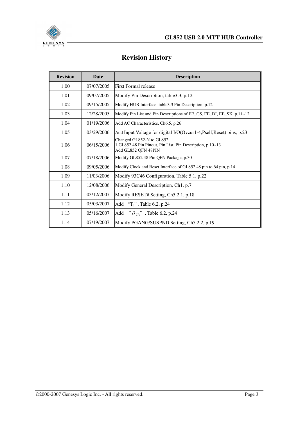

## **Revision History**

| <b>Revision</b> | <b>Date</b> | <b>Description</b>                                                                                           |
|-----------------|-------------|--------------------------------------------------------------------------------------------------------------|
| 1.00            | 07/07/2005  | First Formal release                                                                                         |
| 1.01            | 09/07/2005  | Modify Pin Description, table 3.3, p.12                                                                      |
| 1.02            | 09/15/2005  | Modify HUB Interface ,table 3.3 Pin Description, p.12                                                        |
| 1.03            | 12/28/2005  | Modify Pin List and Pin Descriptions of EE_CS, EE_DI, EE_SK, p.11~12                                         |
| 1.04            | 01/19/2006  | Add AC Characteristics, Ch6.5, p.26                                                                          |
| 1.05            | 03/29/2006  | Add Input Voltage for digital I/O(Ovcur1-4, Pself, Reset) pins, p.23                                         |
| 1.06            | 06/15/2006  | Changed GL852-N to GL852<br>1.GL852 48 Pin Pinout, Pin List, Pin Description, p.10~13<br>Add GL852 QFN 48PIN |
| 1.07            | 07/18/2006  | Modify GL852 48 Pin QFN Package, p.30                                                                        |
| 1.08            | 09/05/2006  | Modify Clock and Reset Interface of GL852 48 pin to 64 pin, p.14                                             |
| 1.09            | 11/03/2006  | Modify 93C46 Configuration, Table 5.1, p.22                                                                  |
| 1.10            | 12/08/2006  | Modify General Description, Ch1, p.7                                                                         |
| 1.11            | 03/12/2007  | Modify RESET# Setting, Ch5.2.1, p.18                                                                         |
| 1.12            | 05/03/2007  | Add "T <sub>J</sub> ", Table 6.2, p.24                                                                       |
| 1.13            | 05/16/2007  | " $\theta_{JA}$ ", Table 6.2, p.24<br>Add                                                                    |
| 1.14            | 07/19/2007  | Modify PGANG/SUSPND Setting, Ch5.2.2, p.19                                                                   |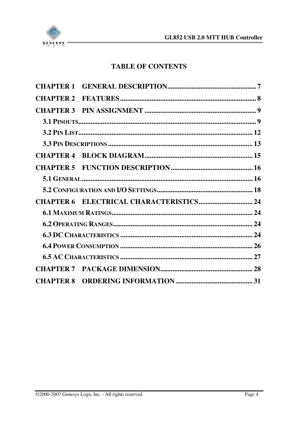

## **TABLE OF CONTENTS**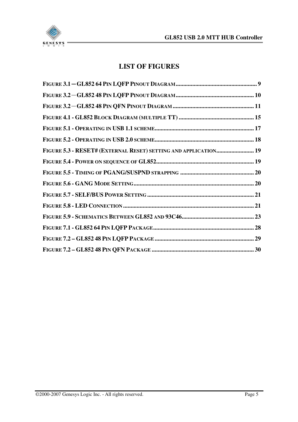

## **LIST OF FIGURES**

| FIGURE 5.3 - RESET# (EXTERNAL RESET) SETTING AND APPLICATION 19 |  |
|-----------------------------------------------------------------|--|
|                                                                 |  |
|                                                                 |  |
|                                                                 |  |
|                                                                 |  |
|                                                                 |  |
|                                                                 |  |
|                                                                 |  |
|                                                                 |  |
|                                                                 |  |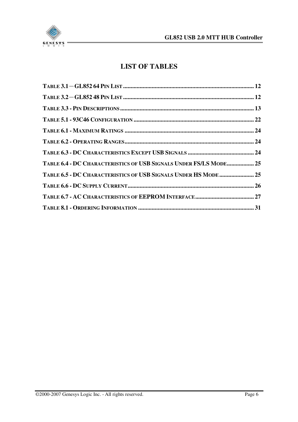

## **LIST OF TABLES**

| TABLE 6.4 - DC CHARACTERISTICS OF USB SIGNALS UNDER FS/LS MODE 25 |  |
|-------------------------------------------------------------------|--|
| TABLE 6.5 - DC CHARACTERISTICS OF USB SIGNALS UNDER HS MODE  25   |  |
|                                                                   |  |
|                                                                   |  |
|                                                                   |  |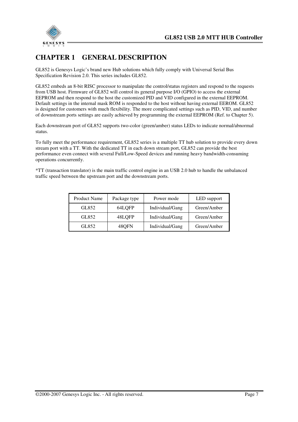

## **CHAPTER 1 GENERAL DESCRIPTION**

GL852 is Genesys Logic's brand new Hub solutions which fully comply with Universal Serial Bus Specification Revision 2.0. This series includes GL852.

GL852 embeds an 8-bit RISC processor to manipulate the control/status registers and respond to the requests from USB host. Firmware of GL852 will control its general purpose I/O (GPIO) to access the external EEPROM and then respond to the host the customized PID and VID configured in the external EEPROM. Default settings in the internal mask ROM is responded to the host without having external EEROM. GL852 is designed for customers with much flexibility. The more complicated settings such as PID, VID, and number of downstream ports settings are easily achieved by programming the external EEPROM (Ref. to Chapter 5).

Each downstream port of GL852 supports two-color (green/amber) status LEDs to indicate normal/abnormal status.

To fully meet the performance requirement, GL852 series is a multiple TT hub solution to provide every down stream port with a TT. With the dedicated TT in each down stream port, GL852 can provide the best performance even connect with several Full/Low-Speed devices and running heavy bandwidth-consuming operations concurrently.

\*TT (transaction translator) is the main traffic control engine in an USB 2.0 hub to handle the unbalanced traffic speed between the upstream port and the downstream ports.

| <b>Product Name</b> | Package type | Power mode      | LED support |
|---------------------|--------------|-----------------|-------------|
| GL852               | 64LQFP       | Individual/Gang | Green/Amber |
| GL852               | 48LOFP       | Individual/Gang | Green/Amber |
| GL852               | 480FN        | Individual/Gang | Green/Amber |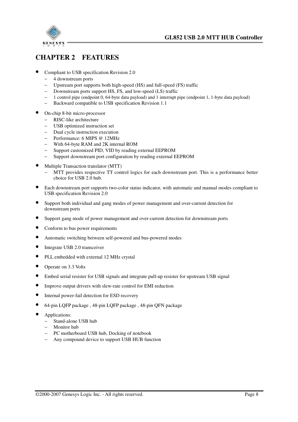

## **CHAPTER 2 FEATURES**

- Compliant to USB specification Revision 2.0
	- − 4 downstream ports
	- − Upstream port supports both high-speed (HS) and full-speed (FS) traffic
	- − Downstream ports support HS, FS, and low-speed (LS) traffic
	- − 1 control pipe (endpoint 0, 64-byte data payload) and 1 interrupt pipe (endpoint 1, 1-byte data payload)
	- − Backward compatible to USB specification Revision 1.1
- On-chip 8-bit micro-processor
	- − RISC-like architecture
	- − USB optimized instruction set
	- − Dual cycle instruction execution
	- − Performance: 6 MIPS @ 12MHz
	- − With 64-byte RAM and 2K internal ROM
	- − Support customized PID, VID by reading external EEPROM
	- − Support downstream port configuration by reading external EEPROM
- Multiple Transaction translator (MTT)
	- MTT provides respective TT control logics for each downstream port. This is a performance better choice for USB 2.0 hub.
- Each downstream port supports two-color status indicator, with automatic and manual modes compliant to USB specification Revision 2.0
- Support both individual and gang modes of power management and over-current detection for downstream ports
- Support gang mode of power management and over-current detection for downstream ports
- Conform to bus power requirements
- Automatic switching between self-powered and bus-powered modes
- Integrate USB 2.0 transceiver
- PLL embedded with external 12 MHz crystal
- Operate on 3.3 Volts
- Embed serial resister for USB signals and integrate pull-up resister for upstream USB signal
- Improve output drivers with slew-rate control for EMI reduction
- Internal power-fail detection for ESD recovery
- 64-pin LQFP package , 48-pin LQFP package , 48-pin QFN package
- Applications:
	- − Stand-alone USB hub
	- − Monitor hub
	- − PC motherboard USB hub, Docking of notebook
	- − Any compound device to support USB HUB function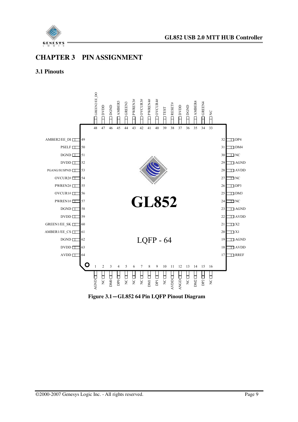

## **CHAPTER 3 PIN ASSIGNMENT**

#### **3.1 Pinouts**



**Figure 3.1**-**GL852 64 Pin LQFP Pinout Diagram**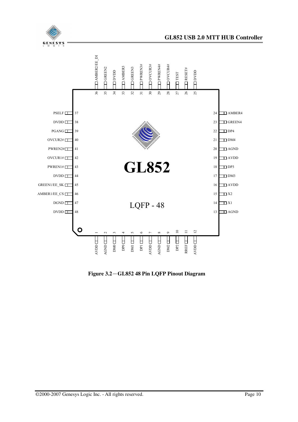



**Figure 3.2**-**GL852 48 Pin LQFP Pinout Diagram**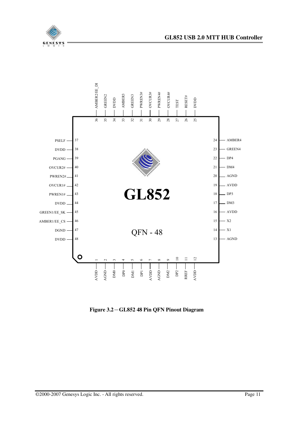



**Figure 3.2**-**GL852 48 Pin QFN Pinout Diagram**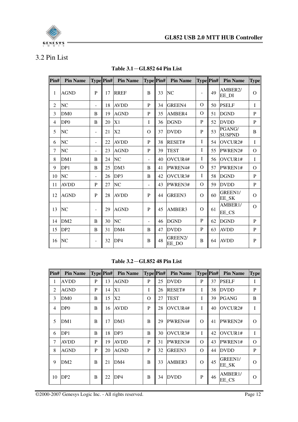

## 3.2 Pin List

| $\text{Pin}\#$ | <b>Pin Name</b> |                          | Type Pin# | <b>Pin Name</b> |          |    | <b>Type Pin#</b> Pin Name | Type Pin#    |    | <b>Pin Name</b>         | <b>Type</b>    |
|----------------|-----------------|--------------------------|-----------|-----------------|----------|----|---------------------------|--------------|----|-------------------------|----------------|
| 1              | <b>AGND</b>     | $\mathbf{P}$             | 17        | <b>RREF</b>     | B        | 33 | <b>NC</b>                 |              | 49 | AMBER2/<br>EE DI        | $\overline{O}$ |
| 2              | NC              | $\blacksquare$           | 18        | <b>AVDD</b>     | P        | 34 | GREEN4                    | $\Omega$     | 50 | <b>PSELF</b>            | $\bf I$        |
| 3              | DM <sub>0</sub> | B                        | 19        | <b>AGND</b>     | P        | 35 | AMBER4                    | $\Omega$     | 51 | <b>DGND</b>             | $\mathbf{P}$   |
| $\overline{4}$ | DP <sub>0</sub> | B                        | 20        | X1              | T        | 36 | <b>DGND</b>               | P            | 52 | <b>DVDD</b>             | $\mathbf{P}$   |
| 5              | NC              | $\overline{\phantom{a}}$ | 21        | X2              | $\Omega$ | 37 | <b>DVDD</b>               | P            | 53 | PGANG/<br><b>SUSPND</b> | B              |
| 6              | NC              | $\blacksquare$           | 22        | <b>AVDD</b>     | P        | 38 | RESET#                    | I            | 54 | OVCUR2#                 | $\bf I$        |
| $\tau$         | NC              | $\blacksquare$           | 23        | <b>AGND</b>     | P        | 39 | <b>TEST</b>               | T            | 55 | PWREN2#                 | $\Omega$       |
| 8              | DM1             | B                        | 24        | NC              | $\sim$   | 40 | OVCUR4#                   | $\bf{I}$     | 56 | OVCUR1#                 | I              |
| 9              | DP1             | B                        | 25        | DM3             | B        | 41 | PWREN4#                   | $\Omega$     | 57 | PWREN1#                 | $\Omega$       |
| 10             | NC              | $\blacksquare$           | 26        | DP3             | B        | 42 | OVCUR3#                   | I            | 58 | <b>DGND</b>             | $\mathbf{P}$   |
| 11             | <b>AVDD</b>     | P                        | 27        | NC              | ٠        | 43 | PWREN3#                   | O            | 59 | <b>DVDD</b>             | $\mathbf{P}$   |
| 12             | <b>AGND</b>     | P                        | 28        | <b>AVDD</b>     | P        | 44 | <b>GREEN3</b>             | $\Omega$     | 60 | GREEN1/<br>EE_SK        | $\overline{O}$ |
| 13             | <b>NC</b>       | $\overline{\phantom{a}}$ | 29        | <b>AGND</b>     | P        | 45 | AMBER3                    | $\Omega$     | 61 | AMBER1/<br>EE_CS        | $\Omega$       |
| 14             | DM <sub>2</sub> | B                        | 30        | NC              | ÷.       | 46 | <b>DGND</b>               | $\mathbf{P}$ | 62 | <b>DGND</b>             | $\mathbf{P}$   |
| 15             | DP <sub>2</sub> | B                        | 31        | DM4             | B        | 47 | <b>DVDD</b>               | P            | 63 | <b>AVDD</b>             | ${\bf P}$      |
| 16             | <b>NC</b>       | $\overline{\phantom{a}}$ | 32        | DP4             | B        | 48 | GREEN2/<br>EE_DO          | B            | 64 | <b>AVDD</b>             | ${\bf P}$      |

**Table 3.1**-**GL852 64 Pin List** 

#### **Table 3.2**-**GL852 48 Pin List**

| $\left  \mathbf{Pin}\# \right $ | <b>Pin Name</b> | Type Pin# |    | <b>Pin Name</b> | <b>Type Pin#</b> |    | <b>Pin Name</b> |          | <b>Type Pin#</b> | <b>Pin Name</b>               | <b>Type</b> |
|---------------------------------|-----------------|-----------|----|-----------------|------------------|----|-----------------|----------|------------------|-------------------------------|-------------|
| 1                               | <b>AVDD</b>     | P         | 13 | <b>AGND</b>     | P                | 25 | <b>DVDD</b>     | P        | 37               | <b>PSELF</b>                  | I           |
| 2                               | <b>AGND</b>     | P         | 14 | X1              | Ι                | 26 | RESET#          | L        | 38               | <b>DVDD</b>                   | P           |
| 3                               | DM0             | B         | 15 | X2              | $\Omega$         | 27 | <b>TEST</b>     | L        | 39               | <b>PGANG</b>                  | B           |
| $\overline{4}$                  | DP <sub>0</sub> | B         | 16 | <b>AVDD</b>     | P                | 28 | OVCUR4#         | I        | 40               | $\overline{\text{OVCUR2#}}$   | T           |
| 5                               | DM1             | B         | 17 | DM3             | B                | 29 | PWREN4#         | $\Omega$ | 41               | PWREN2#                       | $\Omega$    |
| 6                               | DP1             | B         | 18 | DP3             | B                | 30 | <b>OVCUR3#</b>  | L        | 42               | $\overline{OVCUR1#}$          | I           |
| 7                               | <b>AVDD</b>     | P         | 19 | <b>AVDD</b>     | P                | 31 | PWREN3#         | $\Omega$ | 43               | PWREN1#                       | $\Omega$    |
| 8                               | <b>AGND</b>     | P         | 20 | <b>AGND</b>     | P                | 32 | <b>GREEN3</b>   | $\Omega$ | 44               | <b>DVDD</b>                   | P           |
| 9                               | DM2             | B         | 21 | DM4             | B                | 33 | AMBER3          | $\Omega$ | 45               | GREEN1/<br>EE SK              | $\Omega$    |
| 10                              | DP <sub>2</sub> | B         | 22 | DP4             | B                | 34 | <b>DVDD</b>     | P        | 46               | AMBER <sub>1</sub> /<br>EE_CS | $\Omega$    |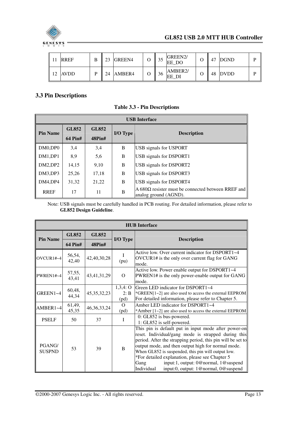

|    | <b>RREF</b> | 23 | GREEN4 | 33 | GREEN2/<br>EE DO              | 47 | DGND    |  |
|----|-------------|----|--------|----|-------------------------------|----|---------|--|
| 12 | <b>AVDD</b> | 24 | AMBER4 | 36 | AMBER <sub>2</sub> /<br>EE DI |    | 48 DVDD |  |

#### **3.3 Pin Descriptions**

|                 | <b>USB</b> Interface |              |          |                                                                             |  |  |  |  |  |  |  |
|-----------------|----------------------|--------------|----------|-----------------------------------------------------------------------------|--|--|--|--|--|--|--|
| <b>Pin Name</b> | <b>GL852</b>         | <b>GL852</b> | I/O Type | <b>Description</b>                                                          |  |  |  |  |  |  |  |
|                 | <b>64 Pin#</b>       | 48Pin#       |          |                                                                             |  |  |  |  |  |  |  |
| DM0,DP0         | 3,4                  | 3,4          | B        | <b>USB</b> signals for USPORT                                               |  |  |  |  |  |  |  |
| DM1,DP1         | 8,9                  | 5,6          | B        | <b>USB</b> signals for DSPORT1                                              |  |  |  |  |  |  |  |
| DM2,DP2         | 14,15                | 9,10         | B        | <b>USB</b> signals for DSPORT2                                              |  |  |  |  |  |  |  |
| DM3,DP3         | 25,26                | 17,18        | B        | <b>USB</b> signals for DSPORT3                                              |  |  |  |  |  |  |  |
| DM4.DP4         | 31,32                | 21,22        | B        | <b>USB</b> signals for DSPORT4                                              |  |  |  |  |  |  |  |
| <b>RREF</b>     | 17                   | 11           | B        | A 680Ω resister must be connected between RREF and<br>analog ground (AGND). |  |  |  |  |  |  |  |

Note: USB signals must be carefully handled in PCB routing. For detailed information, please refer to **GL852 Design Guideline**.

|                         | <b>HUB</b> Interface |                |                                                                                                                                                                                                                                                                                                                                                                                                                                                      |                                                                                                                                                      |  |  |  |  |  |  |
|-------------------------|----------------------|----------------|------------------------------------------------------------------------------------------------------------------------------------------------------------------------------------------------------------------------------------------------------------------------------------------------------------------------------------------------------------------------------------------------------------------------------------------------------|------------------------------------------------------------------------------------------------------------------------------------------------------|--|--|--|--|--|--|
| <b>Pin Name</b>         | <b>GL852</b>         | <b>GL852</b>   | I/O Type                                                                                                                                                                                                                                                                                                                                                                                                                                             | <b>Description</b>                                                                                                                                   |  |  |  |  |  |  |
|                         | <b>64 Pin#</b>       | 48Pin#         |                                                                                                                                                                                                                                                                                                                                                                                                                                                      |                                                                                                                                                      |  |  |  |  |  |  |
| OVCUR1#~4               | 56,54,<br>42,40      | 42,40,30,28    | (pu)                                                                                                                                                                                                                                                                                                                                                                                                                                                 | Active low. Over current indicator for DSPORT1~4<br>OVCUR1# is the only over current flag for GANG<br>mode.                                          |  |  |  |  |  |  |
| PWREN1#~4               | 57,55,<br>43,41      | 43, 41, 31, 29 | $\Omega$                                                                                                                                                                                                                                                                                                                                                                                                                                             | Active low. Power enable output for DSPORT1~4<br>PWREN1# is the only power-enable output for GANG<br>mode.                                           |  |  |  |  |  |  |
| GREEN1~4                | 60,48,<br>44,34      | 45, 35, 32, 23 | 1,3,4:O<br>2: B<br>(pd)                                                                                                                                                                                                                                                                                                                                                                                                                              | Green LED indicator for DSPORT1~4<br>*GREEN[1~2] are also used to access the external EEPROM<br>For detailed information, please refer to Chapter 5. |  |  |  |  |  |  |
| AMBER1~4                | 61,49,<br>45,35      | 46, 36, 33, 24 | $\Omega$<br>(pd)                                                                                                                                                                                                                                                                                                                                                                                                                                     | Amber LED indicator for DSPORT1~4<br>*Amber [1~2] are also used to access the external EEPROM                                                        |  |  |  |  |  |  |
| <b>PSELF</b>            | 50                   | 37             | I                                                                                                                                                                                                                                                                                                                                                                                                                                                    | 0: GL852 is bus-powered.<br>1: GL852 is self-powered.                                                                                                |  |  |  |  |  |  |
| PGANG/<br><b>SUSPND</b> | 53                   | 39             | This pin is default put in input mode after power-on<br>reset. Individual/gang mode is strapped during this<br>period. After the strapping period, this pin will be set to<br>output mode, and then output high for normal mode.<br>B<br>When GL852 is suspended, this pin will output low.<br>*For detailed explanation, please see Chapter 5<br>input:1, output: 0@normal, 1@suspend<br>Gang<br>input:0, output: 1@normal, 0@suspend<br>Individual |                                                                                                                                                      |  |  |  |  |  |  |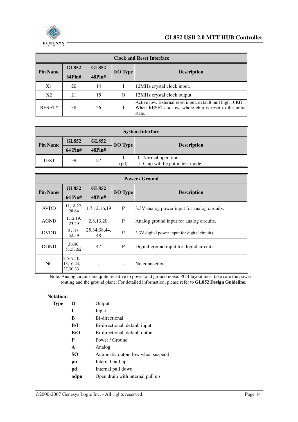

|                 | <b>Clock and Reset Interface</b> |               |          |                                                                                                                                      |  |  |  |  |  |  |  |
|-----------------|----------------------------------|---------------|----------|--------------------------------------------------------------------------------------------------------------------------------------|--|--|--|--|--|--|--|
| <b>Pin Name</b> | <b>GL852</b>                     | <b>GL852</b>  | I/O Type | <b>Description</b>                                                                                                                   |  |  |  |  |  |  |  |
|                 | $64P$ in#                        | <b>48Pin#</b> |          |                                                                                                                                      |  |  |  |  |  |  |  |
| X <sub>1</sub>  | 20                               | 14            |          | 12MHz crystal clock input.                                                                                                           |  |  |  |  |  |  |  |
| X2              | 21                               | 15            | $\Omega$ | 12MHz crystal clock output.                                                                                                          |  |  |  |  |  |  |  |
| RESET#          | 38                               | 26            |          | Active low. External reset input, default pull high $10K\Omega$ .<br>When RESET# = low, whole chip is reset to the initial<br>state. |  |  |  |  |  |  |  |

| <b>System Interface</b>                                                                     |                              |        |                 |                    |  |  |
|---------------------------------------------------------------------------------------------|------------------------------|--------|-----------------|--------------------|--|--|
| <b>Pin Name</b>                                                                             | <b>GL852</b><br><b>GL852</b> |        | <b>I/O Type</b> | <b>Description</b> |  |  |
|                                                                                             | <b>64 Pin#</b>               | 48Pin# |                 |                    |  |  |
| 0: Normal operation.<br><b>TEST</b><br>27<br>39<br>1: Chip will be put in test mode.<br>'pd |                              |        |                 |                    |  |  |

|                 |                                              |                       |          | <b>Power / Ground</b>                         |  |
|-----------------|----------------------------------------------|-----------------------|----------|-----------------------------------------------|--|
| <b>Pin Name</b> | <b>GL852</b>                                 | <b>GL852</b>          | I/O Type | <b>Description</b>                            |  |
|                 | <b>64 Pin#</b>                               | 48Pin#                |          |                                               |  |
| <b>AVDD</b>     | 11,18,22,<br>28,64                           | 1,7,12,16,19          | P        | 3.3V analog power input for analog circuits.  |  |
| <b>AGND</b>     | 1, 12, 19,<br>23,29                          | 2,8,13,20,            | P        | Analog ground input for analog circuits.      |  |
| <b>DVDD</b>     | 37,47,<br>52,59                              | 25, 34, 38, 44,<br>48 | P        | 3.3V digital power input for digital circuits |  |
| <b>DGND</b>     | 36,46,<br>51,58,62                           | 47                    | P        | Digital ground input for digital circuits.    |  |
| NC              | $2,5 \sim 7,10$ ,<br>13, 16, 24,<br>27,30,33 |                       |          | No connection                                 |  |

Note: Analog circuits are quite sensitive to power and ground noise. PCB layout must take care the power routing and the ground plane. For detailed information, please refer to **GL852 Design Guideline**.

#### **Notation:**

| Type |              | Output                            |
|------|--------------|-----------------------------------|
|      | I            | Input                             |
|      | В            | Bi-directional                    |
|      | B/I          | Bi-directional, default input     |
|      | B/O          | Bi-directional, default output    |
|      | P            | Power / Ground                    |
|      | $\mathbf{A}$ | Analog                            |
|      | SO.          | Automatic output low when suspend |
|      | pu           | Internal pull up                  |
|      | pd           | Internal pull down                |
|      | odpu         | Open drain with internal pull up  |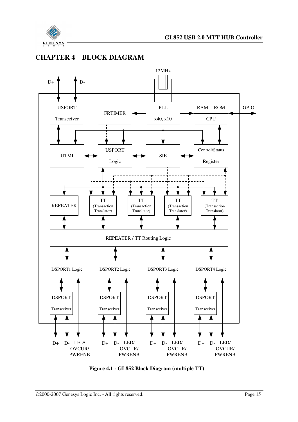

## **CHAPTER 4 BLOCK DIAGRAM**



**Figure 4.1 - GL852 Block Diagram (multiple TT)**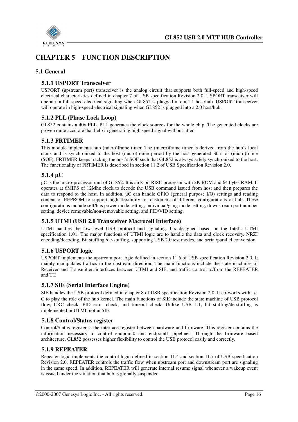

## **CHAPTER 5 FUNCTION DESCRIPTION**

#### **5.1 General**

#### **5.1.1 USPORT Transceiver**

USPORT (upstream port) transceiver is the analog circuit that supports both full-speed and high-speed electrical characteristics defined in chapter 7 of USB specification Revision 2.0. USPORT transceiver will operate in full-speed electrical signaling when GL852 is plugged into a 1.1 host/hub. USPORT transceiver will operate in high-speed electrical signaling when GL852 is plugged into a 2.0 host/hub.

#### **5.1.2 PLL (Phase Lock Loop)**

GL852 contains a 40x PLL. PLL generates the clock sources for the whole chip. The generated clocks are proven quite accurate that help in generating high speed signal without jitter.

#### **5.1.3 FRTIMER**

This module implements hub (micro)frame timer. The (micro)frame timer is derived from the hub's local clock and is synchronized to the host (micro)frame period by the host generated Start of (micro)frame (SOF). FRTIMER keeps tracking the host's SOF such that GL852 is always safely synchronized to the host. The functionality of FRTIMER is described in section 11.2 of USB Specification Revision 2.0.

#### **5.1.4** µ**C**

µC is the micro-processor unit of GL852. It is an 8-bit RISC processor with 2K ROM and 64 bytes RAM. It operates at 6MIPS of 12Mhz clock to decode the USB command issued from host and then prepares the data to respond to the host. In addition, µC can handle GPIO (general purpose I/O) settings and reading content of EEPROM to support high flexibility for customers of different configurations of hub. These configurations include self/bus power mode setting, individual/gang mode setting, downstream port number setting, device removable/non-removable setting, and PID/VID setting.

#### **5.1.5 UTMI (USB 2.0 Transceiver Macrocell Interface)**

UTMI handles the low level USB protocol and signaling. It's designed based on the Intel's UTMI specification 1.01. The major functions of UTMI logic are to handle the data and clock recovery, NRZI encoding/decoding, Bit stuffing /de-stuffing, supporting USB 2.0 test modes, and serial/parallel conversion.

#### **5.1.6 USPORT logic**

USPORT implements the upstream port logic defined in section 11.6 of USB specification Revision 2.0. It mainly manipulates traffics in the upstream direction. The main functions include the state machines of Receiver and Transmitter, interfaces between UTMI and SIE, and traffic control to/from the REPEATER and TT.

#### **5.1.7 SIE (Serial Interface Engine)**

SIE handles the USB protocol defined in chapter 8 of USB specification Revision 2.0. It co-works with  $\mu$ C to play the role of the hub kernel. The main functions of SIE include the state machine of USB protocol flow, CRC check, PID error check, and timeout check. Unlike USB 1.1, bit stuffing/de-stuffing is implemented in UTMI, not in SIE.

#### **5.1.8 Control/Status register**

Control/Status register is the interface register between hardware and firmware. This register contains the information necessary to control endpoint0 and endpoint1 pipelines. Through the firmware based architecture, GL852 possesses higher flexibility to control the USB protocol easily and correctly.

#### **5.1.9 REPEATER**

Repeater logic implements the control logic defined in section 11.4 and section 11.7 of USB specification Revision 2.0. REPEATER controls the traffic flow when upstream port and downstream port are signaling in the same speed. In addition, REPEATER will generate internal resume signal whenever a wakeup event is issued under the situation that hub is globally suspended.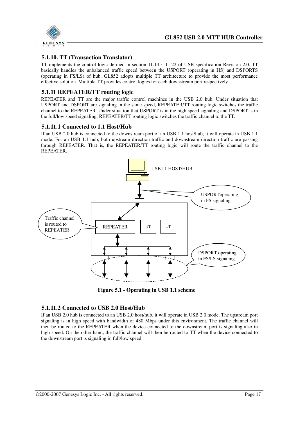

#### **5.1.10. TT (Transaction Translator)**

TT implements the control logic defined in section  $11.14 \approx 11.22$  of USB specification Revision 2.0. TT basically handles the unbalanced traffic speed between the USPORT (operating in HS) and DSPORTS (operating in FS/LS) of hub. GL852 adopts multiple TT architecture to provide the most performance effective solution. Multiple TT provides control logics for each downstream port respectively.

#### **5.1.11 REPEATER/TT routing logic**

REPEATER and TT are the major traffic control machines in the USB 2.0 hub. Under situation that USPORT and DSPORT are signaling in the same speed, REPEATER/TT routing logic switches the traffic channel to the REPEATER. Under situation that USPORT is in the high speed signaling and DSPORT is in the full/low speed signaling, REPEATER/TT routing logic switches the traffic channel to the TT.

#### **5.1.11.1 Connected to 1.1 Host/Hub**

If an USB 2.0 hub is connected to the downstream port of an USB 1.1 host/hub, it will operate in USB 1.1 mode. For an USB 1.1 hub, both upstream direction traffic and downstream direction traffic are passing through REPEATER. That is, the REPEATER/TT routing logic will route the traffic channel to the REPEATER.



**Figure 5.1 - Operating in USB 1.1 scheme** 

#### **5.1.11.2 Connected to USB 2.0 Host/Hub**

If an USB 2.0 hub is connected to an USB 2.0 host/hub, it will operate in USB 2.0 mode. The upstream port signaling is in high speed with bandwidth of 480 Mbps under this environment. The traffic channel will then be routed to the REPEATER when the device connected to the downstream port is signaling also in high speed. On the other hand, the traffic channel will then be routed to TT when the device connected to the downstream port is signaling in full/low speed.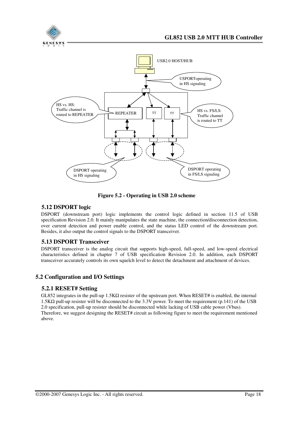



**Figure 5.2 - Operating in USB 2.0 scheme** 

#### **5.12 DSPORT logic**

DSPORT (downstream port) logic implements the control logic defined in section 11.5 of USB specification Revision 2.0. It mainly manipulates the state machine, the connection/disconnection detection, over current detection and power enable control, and the status LED control of the downstream port. Besides, it also output the control signals to the DSPORT transceiver.

#### **5.13 DSPORT Transceiver**

DSPORT transceiver is the analog circuit that supports high-speed, full-speed, and low-speed electrical characteristics defined in chapter 7 of USB specification Revision 2.0. In addition, each DSPORT transceiver accurately controls its own squelch level to detect the detachment and attachment of devices.

#### **5.2 Configuration and I/O Settings**

#### **5.2.1 RESET# Setting**

GL852 integrates in the pull-up 1.5KΩ resister of the upstream port. When RESET# is enabled, the internal 1.5KΩ pull-up resister will be disconnected to the 3.3V power. To meet the requirement (p.141) of the USB 2.0 specification, pull-up resister should be disconnected while lacking of USB cable power (Vbus). Therefore, we suggest designing the RESET# circuit as following figure to meet the requirement mentioned above.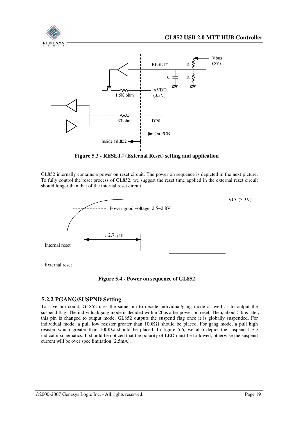

Inside GL852 $\triangleleft$ 

**V**bus  $(5V)$ 



 $\triangleright$  On PCB

GL852 internally contains a power on reset circuit. The power on sequence is depicted in the next picture. To fully control the reset process of GL852, we suggest the reset time applied in the external reset circuit should longer than that of the internal reset circuit.



**Figure 5.4 - Power on sequence of GL852** 

#### **5.2.2 PGANG/SUSPND Setting**

To save pin count, GL852 uses the same pin to decide individual/gang mode as well as to output the suspend flag. The individual/gang mode is decided within 20us after power on reset. Then, about 50ms later, this pin is changed to output mode. GL852 outputs the suspend flag once it is globally suspended. For individual mode, a pull low resister greater than 100KΩ should be placed. For gang mode, a pull high resister which greater than 100KΩ should be placed. In figure 5.6, we also depict the suspend LED indicator schematics. It should be noticed that the polarity of LED must be followed, otherwise the suspend current will be over spec limitation (2.5mA).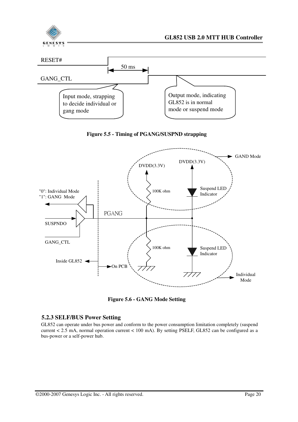



**Figure 5.6 - GANG Mode Setting** 

#### **5.2.3 SELF/BUS Power Setting**

GL852 can operate under bus power and conform to the power consumption limitation completely (suspend current < 2.5 mA, normal operation current < 100 mA). By setting PSELF, GL852 can be configured as a bus-power or a self-power hub.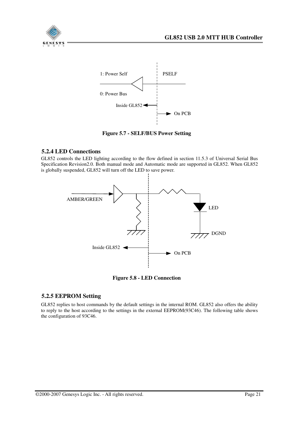



**Figure 5.7 - SELF/BUS Power Setting** 

#### **5.2.4 LED Connections**

GL852 controls the LED lighting according to the flow defined in section 11.5.3 of Universal Serial Bus Specification Revision2.0. Both manual mode and Automatic mode are supported in GL852. When GL852 is globally suspended, GL852 will turn off the LED to save power.



**Figure 5.8 - LED Connection** 

#### **5.2.5 EEPROM Setting**

GL852 replies to host commands by the default settings in the internal ROM. GL852 also offers the ability to reply to the host according to the settings in the external EEPROM(93C46). The following table shows the configuration of 93C46.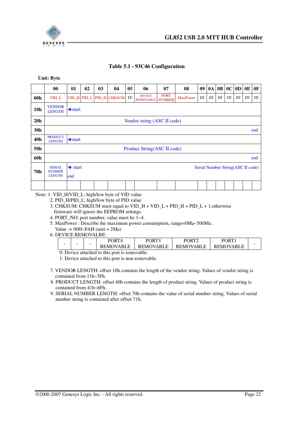

#### **Table 5.1 - 93C46 Configuration**

**Unit: Byte** 

|                 | $\bf{00}$                                                                                                          | 01                  | 02 | 0 <sub>3</sub> | 04                       | 05 | 06                                       | 07          | 08              | 09       | 0A |          | 0B 0C | 0 <sub>D</sub> | 0 <sub>E</sub> | 0 <sub>F</sub> |
|-----------------|--------------------------------------------------------------------------------------------------------------------|---------------------|----|----------------|--------------------------|----|------------------------------------------|-------------|-----------------|----------|----|----------|-------|----------------|----------------|----------------|
| 00 <sub>h</sub> | $VID_L$                                                                                                            |                     |    |                | VID_H PID_L PID_H CHKSUM | FF | <b>DEVICE</b><br><b>REMOVABLE NUMBER</b> | <b>PORT</b> | <b>MaxPower</b> | $\rm FF$ | FF | $\rm FF$ | FF    | FF             | FF             | FF             |
| 10 <sub>h</sub> | <b>VENDOR</b><br><b>LENGTH</b>                                                                                     | $\rightarrow$ start |    |                |                          |    |                                          |             |                 |          |    |          |       |                |                |                |
| 20 <sub>h</sub> |                                                                                                                    |                     |    |                |                          |    | Vendor string (ASC II code)              |             |                 |          |    |          |       |                |                |                |
| 30h             |                                                                                                                    | end                 |    |                |                          |    |                                          |             |                 |          |    |          |       |                |                |                |
| 40h             | <b>PRODUCT</b><br><b>LENGTH</b>                                                                                    | $\rightarrow$ start |    |                |                          |    |                                          |             |                 |          |    |          |       |                |                |                |
| 50h             |                                                                                                                    |                     |    |                |                          |    | Product String(ASC II code)              |             |                 |          |    |          |       |                |                |                |
| 60h             |                                                                                                                    |                     |    |                |                          |    |                                          |             |                 |          |    |          |       |                |                | end            |
| 70h             | $\rightarrow$ start<br>Serial Number String(ASC II code)<br><b>SERIAL</b><br><b>NUMBER</b><br><b>LENGTH</b><br>end |                     |    |                |                          |    |                                          |             |                 |          |    |          |       |                |                |                |
|                 |                                                                                                                    |                     |    |                |                          |    |                                          |             |                 |          |    |          |       |                |                |                |

Note: 1. VID\_H/VID\_L: high/low byte of VID value

- 2. PID\_H/PID\_L: high/low byte of PID value
- 3. CHKSUM: CHKSUM must equal to VID\_H + VID\_L + PID\_H + PID\_L + 1,otherwise firmware will ignore the EEPROM settings.
- 4. PORT NO: port number, value must be 1~4.
- 5. MaxPower : Describe the maximum power consumption, range=0Ma~500Ma .
- Value  $\rightarrow$  00H~FAH (unit = 2Ma)
- 6. DEVICE REMOVALBE:

| -<br>$\sim$ |        | $\mathbf{P}\mathbf{Q}\mathbf{P}\mathbf{T}$ | <b>PORT</b>      | PORT             | <b>PORT</b> |   |
|-------------|--------|--------------------------------------------|------------------|------------------|-------------|---|
|             | $\sim$ | <b>REMOVABLE</b>                           | <b>REMOVABLE</b> | <b>REMOVABLE</b> | REMOVABL    | - |
|             |        | $0.5$ $11.7$                               |                  |                  |             |   |

 0: Device attached to this port is removable. 1: Device attached to this port is non-removable.

- 7. VENDOR LENGTH: offset 10h contains the length of the vendor string. Values of vendor string is contained from 11h~3Fh.
- 8. PRODUCT LENGTH: offset 40h contains the length of product string. Values of product string is contained from 41h~6Fh.
- 9. SERIAL NUMBER LENGTH: offset 70h contains the value of serial number string. Values of serial number string is contained after offset 71h.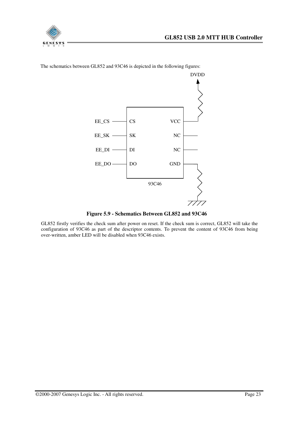



The schematics between GL852 and 93C46 is depicted in the following figures:

**Figure 5.9 - Schematics Between GL852 and 93C46** 

GL852 firstly verifies the check sum after power on reset. If the check sum is correct, GL852 will take the configuration of 93C46 as part of the descriptor contents. To prevent the content of 93C46 from being over-written, amber LED will be disabled when 93C46 exists.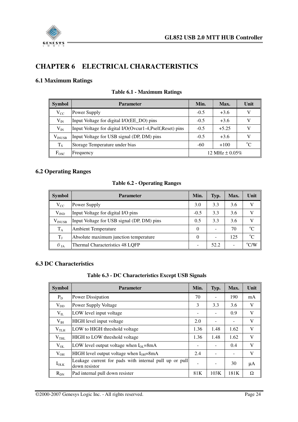

## **CHAPTER 6 ELECTRICAL CHARACTERISTICS**

#### **6.1 Maximum Ratings**

| <b>Symbol</b>       | <b>Parameter</b>                                                                | Min.                           | Max.   | Unit |
|---------------------|---------------------------------------------------------------------------------|--------------------------------|--------|------|
| $\rm V_{CC}$        | Power Supply                                                                    | $-0.5$                         | $+3.6$ |      |
| $\rm V_{IN}$        | Input Voltage for digital I/O(EE_DO) pins                                       | $-0.5$                         | $+3.6$ |      |
| $\rm V_{IN}$        | Input Voltage for digital I/O(Ovcur1-4, Pself, Reset) pins<br>$-0.5$<br>$+5.25$ |                                |        |      |
| $\rm V_{\rm INUSE}$ | Input Voltage for USB signal (DP, DM) pins                                      | $-0.5$<br>$+3.6$               |        |      |
| $T_S$               | Storage Temperature under bias                                                  | $^{\circ}C$<br>$-60$<br>$+100$ |        |      |
| $F_{\rm{OSC}}$      | Frequency                                                                       | 12 MHz $\pm$ 0.05%             |        |      |

#### **Table 6.1 - Maximum Ratings**

#### **6.2 Operating Ranges**

#### **Table 6.2 - Operating Ranges**

| <b>Symbol</b>   | <b>Parameter</b>                           | Min. | Typ. | Max. | Unit          |
|-----------------|--------------------------------------------|------|------|------|---------------|
| $\rm V_{CC}$    | Power Supply                               |      | 3.3  | 3.6  | V             |
| $\rm V_{IND}$   | Input Voltage for digital I/O pins         |      | 3.3  | 3.6  |               |
| $\rm V_{INUSE}$ | Input Voltage for USB signal (DP, DM) pins |      | 3.3  | 3.6  |               |
| $T_A$           | <b>Ambient Temperature</b>                 |      |      | 70   | $^{\circ}C$   |
| $T_{\rm J}$     | Absolute maximum junction temperature      |      |      | 125  | $\rm ^{o}C$   |
| $\theta$ ja     | Thermal Characteristics 48 LOFP            |      | 52.2 |      | $\rm ^{o}C/W$ |

#### **6.3 DC Characteristics**

#### **Table 6.3 - DC Characteristics Except USB Signals**

| <b>Symbol</b>    | <b>Parameter</b>                                                        | Min. | Typ. | Max. | Unit |
|------------------|-------------------------------------------------------------------------|------|------|------|------|
| $P_D$            | Power Dissipation                                                       | 70   |      | 190  | mA   |
| $V_{DD}$         | Power Supply Voltage                                                    |      | 3.3  | 3.6  | V    |
| $V_{IL}$         | LOW level input voltage                                                 |      |      | 0.9  | V    |
| $V_{IH}$         | HIGH level input voltage                                                |      |      |      | V    |
| V <sub>TLH</sub> | LOW to HIGH threshold voltage                                           |      | 1.48 | 1.62 | V    |
| V <sub>THL</sub> | <b>HIGH</b> to LOW threshold voltage                                    |      | 1.48 | 1.62 | V    |
| $V_{OL}$         | LOW level output voltage when $I_{OL}$ =8mA                             | -    |      | 0.4  | V    |
| $V_{OH}$         | HIGH level output voltage when $I_{OH}$ =8mA                            |      |      |      | V    |
| $I_{\text{OLK}}$ | Leakage current for pads with internal pull up or pull<br>down resistor |      |      | 30   | μA   |
| $R_{DN}$         | Pad internal pull down resister                                         | 81K  | 103K | 181K | Ω    |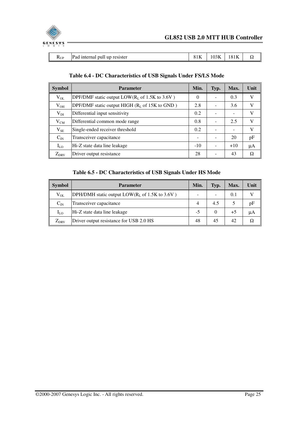

| Pad<br>resister<br>$-1$<br>internal<br>up<br>pull<br>10 I N<br>תכטי<br>$\mathbf{N}$ UP<br>ے د<br>. | I |  |  | 102L | $-$ |  |
|----------------------------------------------------------------------------------------------------|---|--|--|------|-----|--|
|----------------------------------------------------------------------------------------------------|---|--|--|------|-----|--|

| <b>Symbol</b> | <b>Parameter</b>                                                   | Min.     | Typ. | Max.  | Unit |
|---------------|--------------------------------------------------------------------|----------|------|-------|------|
| $V_{OL}$      | DPF/DMF static output $LOW(R_L \text{ of } 1.5K \text{ to } 3.6V)$ | $\Omega$ |      | 0.3   | V    |
| $V_{OH}$      | DPF/DMF static output HIGH $(RL$ of 15K to GND)                    |          |      | 3.6   | V    |
| $V_{DI}$      | Differential input sensitivity                                     |          |      |       | V    |
| $V_{CM}$      | Differential common mode range                                     |          |      | 2.5   | V    |
| $V_{SE}$      | Single-ended receiver threshold                                    |          |      |       | V    |
| $C_{IN}$      | Transceiver capacitance                                            |          |      | 20    | pF   |
| $I_{LO}$      | Hi-Z state data line leakage                                       |          |      | $+10$ | μA   |
| $Z_{DRV}$     | Driver output resistance                                           | 28       |      | 43    | Ω    |

#### **Table 6.4 - DC Characteristics of USB Signals Under FS/LS Mode**

#### **Table 6.5 - DC Characteristics of USB Signals Under HS Mode**

| <b>Symbol</b> | <b>Parameter</b>                                |    | Typ. | Max. | Unit |
|---------------|-------------------------------------------------|----|------|------|------|
| $\rm V_{OL}$  | DPH/DMH static output $LOW(RL$ of 1.5K to 3.6V) |    |      | 0.1  |      |
| $C_{IN}$      | Transceiver capacitance                         |    | 4.5  |      | pF   |
| $I_{LO}$      | Hi-Z state data line leakage                    |    |      | $+5$ | μA   |
| $Z_{DRV}$     | Driver output resistance for USB 2.0 HS         | 48 | 45   | 42   |      |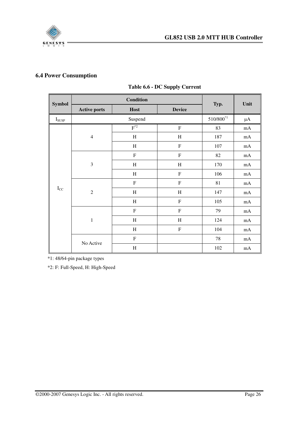

## **6.4 Power Consumption**

| <b>Symbol</b>              |                     | <b>Condition</b> |               |                | Unit     |
|----------------------------|---------------------|------------------|---------------|----------------|----------|
|                            | <b>Active ports</b> | Host             | <b>Device</b> | Typ.           |          |
| $I_{SUSP}$                 |                     | Suspend          |               | $510/800^{*1}$ | $\mu A$  |
|                            |                     | $F^*{}^2$        | $\mathbf F$   | 83             | $\rm mA$ |
|                            | $\overline{4}$      | $\, {\rm H}$     | $\rm H$       | 187            | $\rm mA$ |
|                            |                     | H                | $\rm F$       | 107            | $\rm mA$ |
|                            | $\mathfrak{Z}$      | ${\bf F}$        | ${\bf F}$     | 82             | $\rm mA$ |
|                            |                     | $\,$ H           | H             | 170            | $\rm mA$ |
|                            |                     | H                | $\mathbf F$   | 106            | $\rm mA$ |
|                            |                     | $\mathbf F$      | $\mathbf F$   | 81             | $\rm mA$ |
| $\mathbf{I}_{\mathrm{CC}}$ | $\overline{2}$      | H                | H             | 147            | mA       |
|                            |                     | $\, {\rm H}$     | $\rm F$       | 105            | $\rm mA$ |
|                            |                     | ${\bf F}$        | $\rm F$       | 79             | $\rm mA$ |
|                            | $\mathbf 1$         | $\,$ H           | H             | 124            | $\rm mA$ |
|                            |                     | $\, {\rm H}$     | ${\bf F}$     | 104            | $\rm mA$ |
|                            |                     | $\mathbf F$      |               | 78             | $\rm mA$ |
|                            | No Active           | $\mathbf H$      |               | 102            | $\rm mA$ |

#### **Table 6.6 - DC Supply Current**

\*1: 48/64-pin package types

\*2: F: Full-Speed, H: High-Speed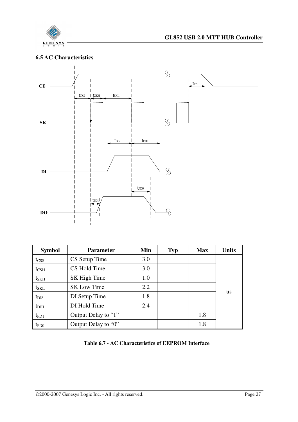

#### **6.5 AC Characteristics**



| <b>Symbol</b>    | <b>Parameter</b>    | Min | <b>Typ</b> | <b>Max</b> | <b>Units</b> |
|------------------|---------------------|-----|------------|------------|--------------|
| t <sub>CSS</sub> | CS Setup Time       | 3.0 |            |            |              |
| $t_{\rm CSH}$    | CS Hold Time        | 3.0 |            |            |              |
| $t_{\rm SKH}$    | SK High Time        | 1.0 |            |            |              |
| $t_{\rm SKL}$    | <b>SK Low Time</b>  | 2.2 |            |            |              |
| $t_{\rm DIS}$    | DI Setup Time       | 1.8 |            |            | <b>us</b>    |
| $t_{\rm DH}$     | DI Hold Time        | 2.4 |            |            |              |
| $tp_{D1}$        | Output Delay to "1" |     |            | 1.8        |              |
| $t_{PDO}$        | Output Delay to "0" |     |            | 1.8        |              |

**Table 6.7 - AC Characteristics of EEPROM Interface**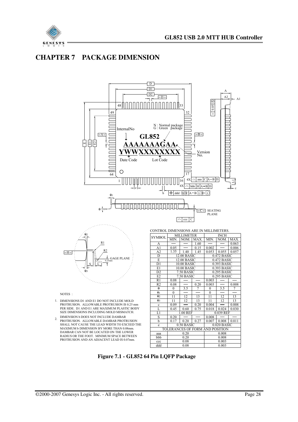

### **CHAPTER 7 PACKAGE DIMENSION**



- 1. DIMENSIONS D1 AND E1 DO NOT INCLUDE MOLD PROTRUSION. ALLOWABLE PROTRUSION IS 0.25 mm PER SIDE. D1 AND E1 ARE MAXIMUM PLASTIC BODY SIZE DIMENSIONS INCLUDING MOLD MISMATCH.
- 2. DIMENSION b DOES NOT INCLUDE DAMBAR PROTRUSION. ALLOWABLE DAMBAR PROTRUSION SHALL NOT CAUSE THE LEAD WIDTH TO EXCEED THE MAXIMUM b DIMENSION BY MORE THAN 0.08mm. DAMBAR CAN NOT BE LOCATED ON THE LOWER RADIUS OR THE FOOT. MINIMUM SPACE BETWEEN PROTRUSION AND AN ADJACENT LEAD IS 0.07mm.

| E<br>12.00 BASIC<br>$0.472$ BASIC<br>$0.25$ mm<br>D <sub>1</sub><br>S<br>10.00 BASIC<br>0.393 BASIC<br>E1<br>10.00 BASIC<br>0.393 BASIC<br>$\theta$ 3<br>D <sub>2</sub><br>7.50 BASIC<br>$0.295$ BASIC<br>E <sub>2</sub><br>7.50 BASIC<br>$0.295$ BASIC<br>R1<br>0.08<br>0.003<br>R <sub>2</sub><br>0.08<br>0.003<br>0.008<br>0.20<br>$\theta$<br>3.5<br>3.5<br>7<br>$\Omega$<br>$\mathbf{0}$<br>$\theta$ 1<br>$\theta$<br>$\Omega$<br>NOTES ·<br>$\theta$ <sub>2</sub><br>13<br>13<br>11<br>12<br>12<br>11<br>$\theta$ <sub>3</sub><br>11<br>12<br>13<br>13<br>11<br>12<br>DIMENSIONS D1 AND E1 DO NOT INCLUDE MOLD<br>PROTRUSION. ALLOWABLE PROTRUSION IS 0.25 mm<br>0.09<br>0.004<br>0.008<br>0.20<br>$\mathbf{c}$<br>PER SIDE. D1 AND E1 ARE MAXIMUM PLASTIC BODY<br>L<br>0.75<br>0.030<br>0.024<br>0.45<br>0.60<br>0.018<br>SIZE DIMENSIONS INCLUDING MOLD MISMATCH.<br>L1<br>1.00 REF<br>0.039 REF<br>S<br>DIMENSION <b>b</b> DOES NOT INCLUDE DAMBAR<br>0.20<br>0.008<br>PROTRUSION. ALLOWABLE DAMBAR PROTRUSION<br>h<br>0.011<br>0.20<br>0.27<br>0.007<br>0.008<br>0.17<br>SHALL NOT CAUSE THE LEAD WIDTH TO EXCEED THE<br>0.50 BASIC<br>$0.020$ BASIC<br>e<br>MAXIMUM b DIMENSION BY MORE THAN 0.08mm.<br>TOLERANCES OF FORM AND POSITION<br>DAMBAR CAN NOT BE LOCATED ON THE LOWER<br>0.20<br>0.008<br>aaa<br>RADIUS OR THE FOOT. MINIMUM SPACE BETWEEN<br>bbb<br>0.20<br>0.008<br>PROTRUSION AND AN ADJACENT LEAD IS 0.07mm.<br>0.08<br>0.003<br>ccc<br>ddd<br>0.08<br>0.003 |                   | D | 12.00 BASIC |  | $0.472$ BASIC |  |  |  |
|-----------------------------------------------------------------------------------------------------------------------------------------------------------------------------------------------------------------------------------------------------------------------------------------------------------------------------------------------------------------------------------------------------------------------------------------------------------------------------------------------------------------------------------------------------------------------------------------------------------------------------------------------------------------------------------------------------------------------------------------------------------------------------------------------------------------------------------------------------------------------------------------------------------------------------------------------------------------------------------------------------------------------------------------------------------------------------------------------------------------------------------------------------------------------------------------------------------------------------------------------------------------------------------------------------------------------------------------------------------------------------------------------------------------------------------------------------------------------------------------|-------------------|---|-------------|--|---------------|--|--|--|
|                                                                                                                                                                                                                                                                                                                                                                                                                                                                                                                                                                                                                                                                                                                                                                                                                                                                                                                                                                                                                                                                                                                                                                                                                                                                                                                                                                                                                                                                                         | <b>GAGE PLANE</b> |   |             |  |               |  |  |  |
|                                                                                                                                                                                                                                                                                                                                                                                                                                                                                                                                                                                                                                                                                                                                                                                                                                                                                                                                                                                                                                                                                                                                                                                                                                                                                                                                                                                                                                                                                         |                   |   |             |  |               |  |  |  |
|                                                                                                                                                                                                                                                                                                                                                                                                                                                                                                                                                                                                                                                                                                                                                                                                                                                                                                                                                                                                                                                                                                                                                                                                                                                                                                                                                                                                                                                                                         |                   |   |             |  |               |  |  |  |
|                                                                                                                                                                                                                                                                                                                                                                                                                                                                                                                                                                                                                                                                                                                                                                                                                                                                                                                                                                                                                                                                                                                                                                                                                                                                                                                                                                                                                                                                                         |                   |   |             |  |               |  |  |  |
|                                                                                                                                                                                                                                                                                                                                                                                                                                                                                                                                                                                                                                                                                                                                                                                                                                                                                                                                                                                                                                                                                                                                                                                                                                                                                                                                                                                                                                                                                         |                   |   |             |  |               |  |  |  |
|                                                                                                                                                                                                                                                                                                                                                                                                                                                                                                                                                                                                                                                                                                                                                                                                                                                                                                                                                                                                                                                                                                                                                                                                                                                                                                                                                                                                                                                                                         |                   |   |             |  |               |  |  |  |
|                                                                                                                                                                                                                                                                                                                                                                                                                                                                                                                                                                                                                                                                                                                                                                                                                                                                                                                                                                                                                                                                                                                                                                                                                                                                                                                                                                                                                                                                                         |                   |   |             |  |               |  |  |  |
|                                                                                                                                                                                                                                                                                                                                                                                                                                                                                                                                                                                                                                                                                                                                                                                                                                                                                                                                                                                                                                                                                                                                                                                                                                                                                                                                                                                                                                                                                         |                   |   |             |  |               |  |  |  |
|                                                                                                                                                                                                                                                                                                                                                                                                                                                                                                                                                                                                                                                                                                                                                                                                                                                                                                                                                                                                                                                                                                                                                                                                                                                                                                                                                                                                                                                                                         |                   |   |             |  |               |  |  |  |
|                                                                                                                                                                                                                                                                                                                                                                                                                                                                                                                                                                                                                                                                                                                                                                                                                                                                                                                                                                                                                                                                                                                                                                                                                                                                                                                                                                                                                                                                                         |                   |   |             |  |               |  |  |  |
|                                                                                                                                                                                                                                                                                                                                                                                                                                                                                                                                                                                                                                                                                                                                                                                                                                                                                                                                                                                                                                                                                                                                                                                                                                                                                                                                                                                                                                                                                         |                   |   |             |  |               |  |  |  |
|                                                                                                                                                                                                                                                                                                                                                                                                                                                                                                                                                                                                                                                                                                                                                                                                                                                                                                                                                                                                                                                                                                                                                                                                                                                                                                                                                                                                                                                                                         |                   |   |             |  |               |  |  |  |
|                                                                                                                                                                                                                                                                                                                                                                                                                                                                                                                                                                                                                                                                                                                                                                                                                                                                                                                                                                                                                                                                                                                                                                                                                                                                                                                                                                                                                                                                                         |                   |   |             |  |               |  |  |  |
|                                                                                                                                                                                                                                                                                                                                                                                                                                                                                                                                                                                                                                                                                                                                                                                                                                                                                                                                                                                                                                                                                                                                                                                                                                                                                                                                                                                                                                                                                         |                   |   |             |  |               |  |  |  |
|                                                                                                                                                                                                                                                                                                                                                                                                                                                                                                                                                                                                                                                                                                                                                                                                                                                                                                                                                                                                                                                                                                                                                                                                                                                                                                                                                                                                                                                                                         |                   |   |             |  |               |  |  |  |
|                                                                                                                                                                                                                                                                                                                                                                                                                                                                                                                                                                                                                                                                                                                                                                                                                                                                                                                                                                                                                                                                                                                                                                                                                                                                                                                                                                                                                                                                                         |                   |   |             |  |               |  |  |  |
|                                                                                                                                                                                                                                                                                                                                                                                                                                                                                                                                                                                                                                                                                                                                                                                                                                                                                                                                                                                                                                                                                                                                                                                                                                                                                                                                                                                                                                                                                         |                   |   |             |  |               |  |  |  |
|                                                                                                                                                                                                                                                                                                                                                                                                                                                                                                                                                                                                                                                                                                                                                                                                                                                                                                                                                                                                                                                                                                                                                                                                                                                                                                                                                                                                                                                                                         |                   |   |             |  |               |  |  |  |
|                                                                                                                                                                                                                                                                                                                                                                                                                                                                                                                                                                                                                                                                                                                                                                                                                                                                                                                                                                                                                                                                                                                                                                                                                                                                                                                                                                                                                                                                                         |                   |   |             |  |               |  |  |  |
|                                                                                                                                                                                                                                                                                                                                                                                                                                                                                                                                                                                                                                                                                                                                                                                                                                                                                                                                                                                                                                                                                                                                                                                                                                                                                                                                                                                                                                                                                         |                   |   |             |  |               |  |  |  |
|                                                                                                                                                                                                                                                                                                                                                                                                                                                                                                                                                                                                                                                                                                                                                                                                                                                                                                                                                                                                                                                                                                                                                                                                                                                                                                                                                                                                                                                                                         |                   |   |             |  |               |  |  |  |
|                                                                                                                                                                                                                                                                                                                                                                                                                                                                                                                                                                                                                                                                                                                                                                                                                                                                                                                                                                                                                                                                                                                                                                                                                                                                                                                                                                                                                                                                                         |                   |   |             |  |               |  |  |  |

**Figure 7.1 - GL852 64 Pin LQFP Package**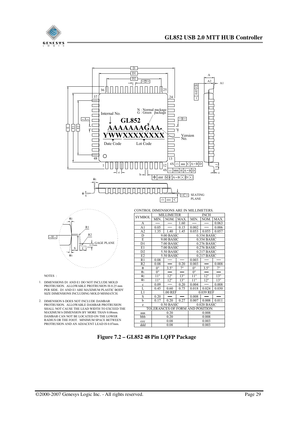





NOTES :

- 1. DIMENSIONS D1 AND E1 DO NOT INCLUDE MOLD PROTRUSION. ALLOWABLE PROTRUSION IS 0.25 mm PER SIDE. D1 AND E1 ARE MAXIMUM PLASTIC BODY SIZE DIMENSIONS INCLUDING MOLD MISMATCH.
- 2. DIMENSION b DOES NOT INCLUDE DAMBAR PROTRUSION. ALLOWABLE DAMBAR PROTRUSION SHALL NOT CAUSE THE LEAD WIDTH TO EXCEED THE MAXIMUM b DIMENSION BY MORE THAN 0.08mm. DAMBAR CAN NOT BE LOCATED ON THE LOWER RADIUS OR THE FOOT. MINIMUM SPACE BETWEEN PROTRUSION AND AN ADJACENT LEAD IS 0.07mm.

| CONTROL DIMENSIONS ARE IN MILLIMETERS. |                           |              |              |                              |              |              |  |
|----------------------------------------|---------------------------|--------------|--------------|------------------------------|--------------|--------------|--|
| <b>SYMBOL</b>                          | <b>MILLIMETER</b>         |              |              | INCH                         |              |              |  |
|                                        | MIN.                      | NOM.         | MAX.         | MIN.                         | NOM.         | MAX.         |  |
| A                                      |                           |              | 1.60         |                              |              | 0.063        |  |
| A <sub>1</sub>                         | 0.05                      |              | 0.15         | 0.002                        |              | 0.006        |  |
| A2                                     | 1.35                      | 1.40         | 1.45         | 0.053                        | 0.055        | 0.057        |  |
| D                                      |                           | 9.00 BASIC   |              | 0.354 BASIC                  |              |              |  |
| E                                      |                           | 9.00 BASIC   |              | 0.354 BASIC                  |              |              |  |
| D <sub>1</sub>                         |                           | 7.00 BASIC   |              | $0.276$ BASIC                |              |              |  |
| E1                                     | 7.00 BASIC                |              |              | $0.276$ BASIC                |              |              |  |
| D2                                     | 0.217 BASIC<br>5.50 BASIC |              |              |                              |              |              |  |
| E2                                     | 5.50 BASIC                |              |              |                              | 0.217 BASIC  |              |  |
| R1                                     | 0.08                      |              |              | 0.003                        |              |              |  |
| R <sub>2</sub>                         | 0.08                      |              | 0.20         | 0.003                        |              | 0.008        |  |
| $\theta$                               | $0^{\overline{\circ}}$    | $3.5^\circ$  | $7^{\circ}$  | $0^{\circ}$                  | $3.5^\circ$  | $7^{\circ}$  |  |
| $\theta$ 1                             | $0^{\circ}$               |              |              | $0^{\circ}$                  |              |              |  |
| $\overline{\theta}$                    | $11^{\circ}$              | $12^{\circ}$ | $13^\circ$   | $11^{\circ}$                 | $12^{\circ}$ | $13^\circ$   |  |
| $\theta$ <sub>3</sub>                  | $11^{\circ}$              | $12^{\circ}$ | $13^{\circ}$ | $11^{\circ}$<br>$12^{\circ}$ |              | $13^{\circ}$ |  |
| $\mathbf c$                            | 0.09                      |              | 0.20         | 0.004                        |              | 0.008        |  |
| L                                      | 0.45                      | 0.60         | 0.75         | 0.018                        | 0.024        | 0.030        |  |
| L1                                     | 1.00 REF                  |              |              | 0.039 REF                    |              |              |  |
| S                                      | 0.20                      |              |              | 0.008                        |              |              |  |
| b                                      | 0.17                      | 0.20         | 0.27         | 0.007                        | 0.008        | 0.011        |  |
| e                                      | 0.50 BASIC                |              |              | $0.020$ BASIC                |              |              |  |
| TOLERANCES OF FORM AND POSITION        |                           |              |              |                              |              |              |  |
| aaa                                    | 0.20                      |              |              | 0.008                        |              |              |  |
| bbb                                    | 0.20                      |              |              | 0.008                        |              |              |  |
| ccc                                    | 0.08                      |              |              | 0.003                        |              |              |  |
| ddd                                    | 0.08                      |              |              | 0.003                        |              |              |  |

#### **Figure 7.2 – GL852 48 Pin LQFP Package**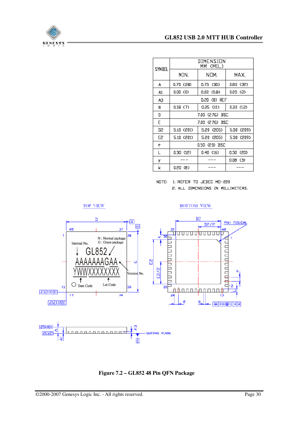

| SYMBOL         | DIMENSION<br>(MIL)<br>ММ |            |            |  |  |  |
|----------------|--------------------------|------------|------------|--|--|--|
|                | MIN.                     | NOM.       | MAX.       |  |  |  |
| A              | 0.70 (28)                | 0.75 (30)  | D.80 (32)  |  |  |  |
| Α1             | 0.OD (0)                 | 0.02 (0.8) | 0.05 (2)   |  |  |  |
| AЗ             | 0,20 (B) REF             |            |            |  |  |  |
| b              | 0.1B(7)                  | 0.25(10)   | 0.30(12)   |  |  |  |
| D              | 7.00 (276) BSC           |            |            |  |  |  |
| E              | 7.00 (276) BSC           |            |            |  |  |  |
| D2             | 5.10 (201)               | 5,20 (205) | 5.30 (209) |  |  |  |
| E <sub>2</sub> | 5.10 (201)               | 5.20 (205) | 5.30 (209) |  |  |  |
| e              | 0.50 (20) BSC            |            |            |  |  |  |
| L              | 0.30 (12)                | 0.40(16)   | 0.50 (20)  |  |  |  |
| у              |                          |            | 0.08 (3)   |  |  |  |
| k              | 0.20 (8)                 |            |            |  |  |  |

NOTE: 1. REFER TO JEDEC MD-220 2. ALL DIMENSIONS IN MILLIMETERS.



**Figure 7.2 – GL852 48 Pin QFN Package**